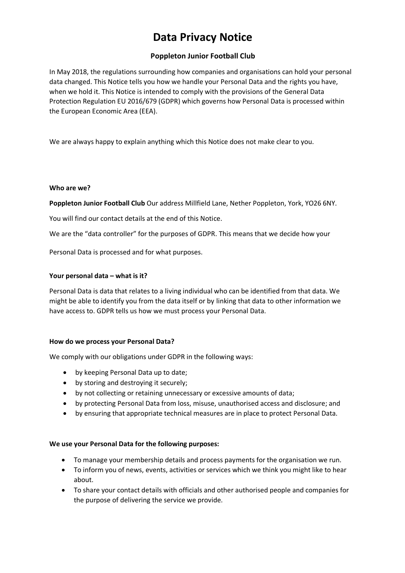# **Data Privacy Notice**

# **Poppleton Junior Football Club**

In May 2018, the regulations surrounding how companies and organisations can hold your personal data changed. This Notice tells you how we handle your Personal Data and the rights you have, when we hold it. This Notice is intended to comply with the provisions of the General Data Protection Regulation EU 2016/679 (GDPR) which governs how Personal Data is processed within the European Economic Area (EEA).

We are always happy to explain anything which this Notice does not make clear to you.

#### **Who are we?**

**Poppleton Junior Football Club** Our address Millfield Lane, Nether Poppleton, York, YO26 6NY.

You will find our contact details at the end of this Notice.

We are the "data controller" for the purposes of GDPR. This means that we decide how your

Personal Data is processed and for what purposes.

# **Your personal data – what is it?**

Personal Data is data that relates to a living individual who can be identified from that data. We might be able to identify you from the data itself or by linking that data to other information we have access to. GDPR tells us how we must process your Personal Data.

#### **How do we process your Personal Data?**

We comply with our obligations under GDPR in the following ways:

- by keeping Personal Data up to date;
- by storing and destroying it securely;
- by not collecting or retaining unnecessary or excessive amounts of data;
- by protecting Personal Data from loss, misuse, unauthorised access and disclosure; and
- by ensuring that appropriate technical measures are in place to protect Personal Data.

#### **We use your Personal Data for the following purposes:**

- To manage your membership details and process payments for the organisation we run.
- To inform you of news, events, activities or services which we think you might like to hear about.
- To share your contact details with officials and other authorised people and companies for the purpose of delivering the service we provide.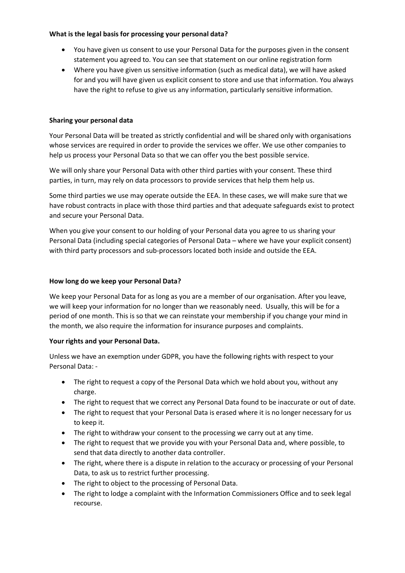# **What is the legal basis for processing your personal data?**

- You have given us consent to use your Personal Data for the purposes given in the consent statement you agreed to. You can see that statement on our online registration form
- Where you have given us sensitive information (such as medical data), we will have asked for and you will have given us explicit consent to store and use that information. You always have the right to refuse to give us any information, particularly sensitive information.

# **Sharing your personal data**

Your Personal Data will be treated as strictly confidential and will be shared only with organisations whose services are required in order to provide the services we offer. We use other companies to help us process your Personal Data so that we can offer you the best possible service.

We will only share your Personal Data with other third parties with your consent. These third parties, in turn, may rely on data processors to provide services that help them help us.

Some third parties we use may operate outside the EEA. In these cases, we will make sure that we have robust contracts in place with those third parties and that adequate safeguards exist to protect and secure your Personal Data.

When you give your consent to our holding of your Personal data you agree to us sharing your Personal Data (including special categories of Personal Data – where we have your explicit consent) with third party processors and sub-processors located both inside and outside the EEA.

# **How long do we keep your Personal Data?**

We keep your Personal Data for as long as you are a member of our organisation. After you leave, we will keep your information for no longer than we reasonably need. Usually, this will be for a period of one month. This is so that we can reinstate your membership if you change your mind in the month, we also require the information for insurance purposes and complaints.

#### **Your rights and your Personal Data.**

Unless we have an exemption under GDPR, you have the following rights with respect to your Personal Data: -

- The right to request a copy of the Personal Data which we hold about you, without any charge.
- The right to request that we correct any Personal Data found to be inaccurate or out of date.
- The right to request that your Personal Data is erased where it is no longer necessary for us to keep it.
- The right to withdraw your consent to the processing we carry out at any time.
- The right to request that we provide you with your Personal Data and, where possible, to send that data directly to another data controller.
- The right, where there is a dispute in relation to the accuracy or processing of your Personal Data, to ask us to restrict further processing.
- The right to object to the processing of Personal Data.
- The right to lodge a complaint with the Information Commissioners Office and to seek legal recourse.